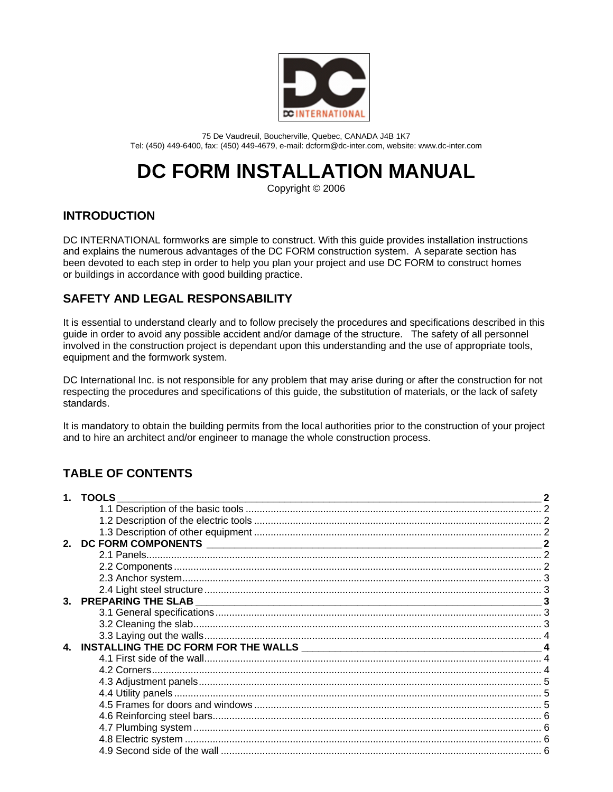

75 De Vaudreuil, Boucherville, Quebec, CANADA J4B 1K7 Tel: (450) 449-6400, fax: (450) 449-4679, e-mail: dcform@dc-inter.com, website: www.dc-inter.com

# **DC FORM INSTALLATION MANUAL**

Copyright © 2006

# **INTRODUCTION**

DC INTERNATIONAL formworks are simple to construct. With this guide provides installation instructions and explains the numerous advantages of the DC FORM construction system. A separate section has been devoted to each step in order to help you plan your project and use DC FORM to construct homes or buildings in accordance with good building practice.

# **SAFETY AND LEGAL RESPONSABILITY**

It is essential to understand clearly and to follow precisely the procedures and specifications described in this guide in order to avoid any possible accident and/or damage of the structure. The safety of all personnel involved in the construction project is dependant upon this understanding and the use of appropriate tools, equipment and the formwork system.

DC International Inc. is not responsible for any problem that may arise during or after the construction for not respecting the procedures and specifications of this guide, the substitution of materials, or the lack of safety standards.

It is mandatory to obtain the building permits from the local authorities prior to the construction of your project and to hire an architect and/or engineer to manage the whole construction process.

# **TABLE OF CONTENTS**

|              | 1. TOOLS                                                                              |  |
|--------------|---------------------------------------------------------------------------------------|--|
|              |                                                                                       |  |
|              |                                                                                       |  |
|              |                                                                                       |  |
| $\mathbf{p}$ |                                                                                       |  |
|              |                                                                                       |  |
|              |                                                                                       |  |
|              |                                                                                       |  |
|              |                                                                                       |  |
| $\mathbf{3}$ | <b>PREPARING THE SLAB</b><br><u> 1989 - Johann John Stein, marwolaethau (b. 1989)</u> |  |
|              |                                                                                       |  |
|              |                                                                                       |  |
|              |                                                                                       |  |
|              |                                                                                       |  |
|              |                                                                                       |  |
|              |                                                                                       |  |
|              |                                                                                       |  |
|              |                                                                                       |  |
|              |                                                                                       |  |
|              |                                                                                       |  |
|              |                                                                                       |  |
|              |                                                                                       |  |
|              |                                                                                       |  |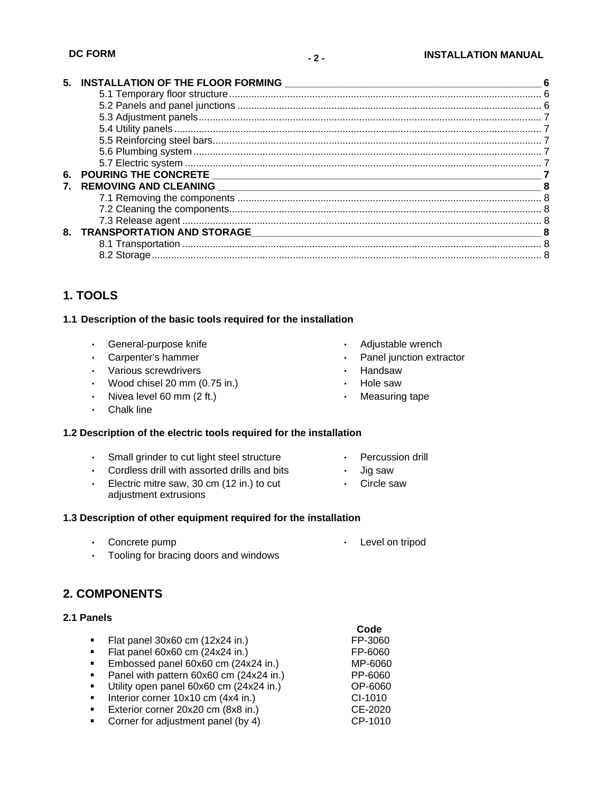| INSTALLATION OF THE FLOOR FORMING <b>Fig. 1.1 April 2018</b> 1997 1998 |  |
|------------------------------------------------------------------------|--|
|                                                                        |  |
|                                                                        |  |
|                                                                        |  |
|                                                                        |  |
|                                                                        |  |
|                                                                        |  |
|                                                                        |  |
|                                                                        |  |
|                                                                        |  |
|                                                                        |  |
|                                                                        |  |
|                                                                        |  |
|                                                                        |  |
|                                                                        |  |
|                                                                        |  |

# **1. TOOLS**

#### **1.1 Description of the basic tools required for the installation**

- General-purpose knife
- Carpenter's hammer
- Various screwdrivers
- Wood chisel 20 mm (0.75 in.)
- Nivea level 60 mm (2 ft.)
- Chalk line

#### **1.2 Description of the electric tools required for the installation**

- Small grinder to cut light steel structure
- Cordless drill with assorted drills and bits
- Electric mitre saw, 30 cm (12 in.) to cut adjustment extrusions
- **1.3 Description of other equipment required for the installation** 
	- Concrete pump

• Level on tripod

• Percussion drill

• Jig saw • Circle saw

• Adjustable wrench • Panel junction extractor

• Handsaw • Hole saw • Measuring tape

• Tooling for bracing doors and windows

# **2. COMPONENTS**

#### **2.1 Panels**

|                                                      | Code    |
|------------------------------------------------------|---------|
| Flat panel 30x60 cm (12x24 in.)<br>$\mathbf{m}$ .    | FP-3060 |
| Flat panel 60x60 cm (24x24 in.)<br>$\mathbf{r}$      | FP-6060 |
| Embossed panel 60x60 cm (24x24 in.)<br>$\mathbf{r}$  | MP-6060 |
| • Panel with pattern 60x60 cm (24x24 in.)            | PP-6060 |
| Utility open panel 60x60 cm (24x24 in.)              | OP-6060 |
| Interior corner 10x10 cm (4x4 in.)<br>$\mathbf{m}$   | CI-1010 |
| Exterior corner 20x20 cm (8x8 in.)<br>$\blacksquare$ | CE-2020 |
| Corner for adjustment panel (by 4)                   | CP-1010 |
|                                                      |         |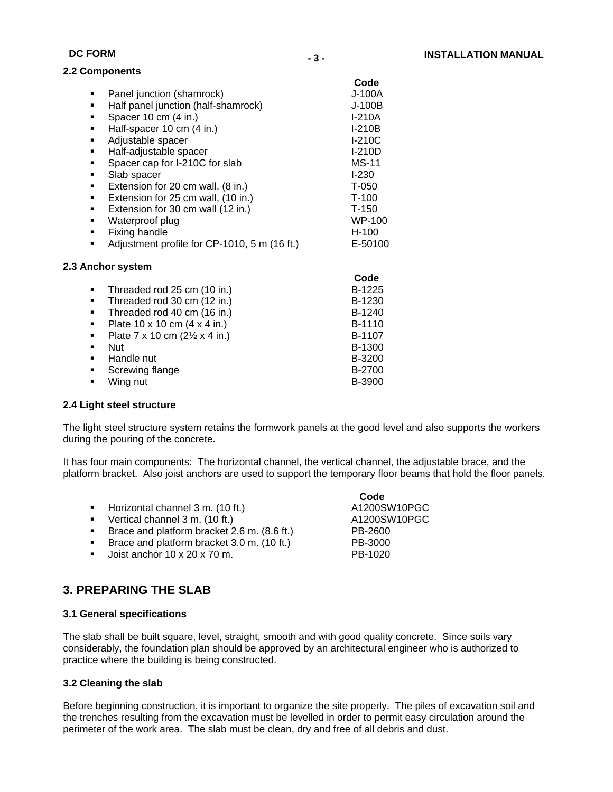**2.2 Components** 

|                                                                | Code         |
|----------------------------------------------------------------|--------------|
| Panel junction (shamrock)<br>٠                                 | J-100A       |
| Half panel junction (half-shamrock)<br>٠                       | $J-100B$     |
| Spacer 10 cm (4 in.)<br>٠                                      | I-210A       |
| Half-spacer 10 cm (4 in.)<br>٠                                 | $I-210B$     |
| Adjustable spacer<br>٠                                         | $I-210C$     |
| Half-adjustable spacer<br>٠                                    | $I-210D$     |
| Spacer cap for I-210C for slab<br>٠                            | <b>MS-11</b> |
| Slab spacer<br>٠                                               | I-230        |
| Extension for 20 cm wall, (8 in.)<br>٠                         | $T-050$      |
| Extension for 25 cm wall, (10 in.)<br>٠                        | $T-100$      |
| Extension for 30 cm wall (12 in.)<br>٠                         | $T-150$      |
| Waterproof plug<br>٠                                           | WP-100       |
| Fixing handle<br>٠                                             | $H-100$      |
| Adjustment profile for CP-1010, 5 m (16 ft.)<br>$\blacksquare$ | E-50100      |
| 2.3 Anchor system                                              |              |
|                                                                | Code         |

| Threaded rod 25 cm (10 in.)                           | B-1225        |
|-------------------------------------------------------|---------------|
| Threaded rod 30 cm (12 in.)                           | B-1230        |
| Threaded rod 40 cm (16 in.)                           | B-1240        |
| Plate 10 x 10 cm (4 x 4 in.)                          | B-1110        |
| Plate 7 x 10 cm $(2\frac{1}{2} \times 4 \text{ in.})$ | B-1107        |
| Nut                                                   | <b>B-1300</b> |
| Handle nut                                            | B-3200        |
| Screwing flange                                       | B-2700        |
| Wing nut                                              | <b>B-3900</b> |
|                                                       |               |

#### **2.4 Light steel structure**

The light steel structure system retains the formwork panels at the good level and also supports the workers during the pouring of the concrete.

It has four main components: The horizontal channel, the vertical channel, the adjustable brace, and the platform bracket. Also joist anchors are used to support the temporary floor beams that hold the floor panels.

|                                                 | Code   |
|-------------------------------------------------|--------|
| $\blacksquare$ Horizontal channel 3 m. (10 ft.) | A1200S |
| $\Lambda$ (10 ft $\Lambda$                      | A1200S |

- Vertical channel 3 m. (10 ft.) A1200SW10PGC
- **Brace and platform bracket 2.6 m. (8.6 ft.)** PB-2600
- **Brace and platform bracket 3.0 m. (10 ft.)** PB-3000
- Joist anchor 10 x 20 x 70 m. PB-1020

# **3. PREPARING THE SLAB**

#### **3.1 General specifications**

The slab shall be built square, level, straight, smooth and with good quality concrete. Since soils vary considerably, the foundation plan should be approved by an architectural engineer who is authorized to practice where the building is being constructed.

#### **3.2 Cleaning the slab**

Before beginning construction, it is important to organize the site properly. The piles of excavation soil and the trenches resulting from the excavation must be levelled in order to permit easy circulation around the perimeter of the work area. The slab must be clean, dry and free of all debris and dust.

Horizontal channel 3 m. (10 ft.) A1200SW10PGC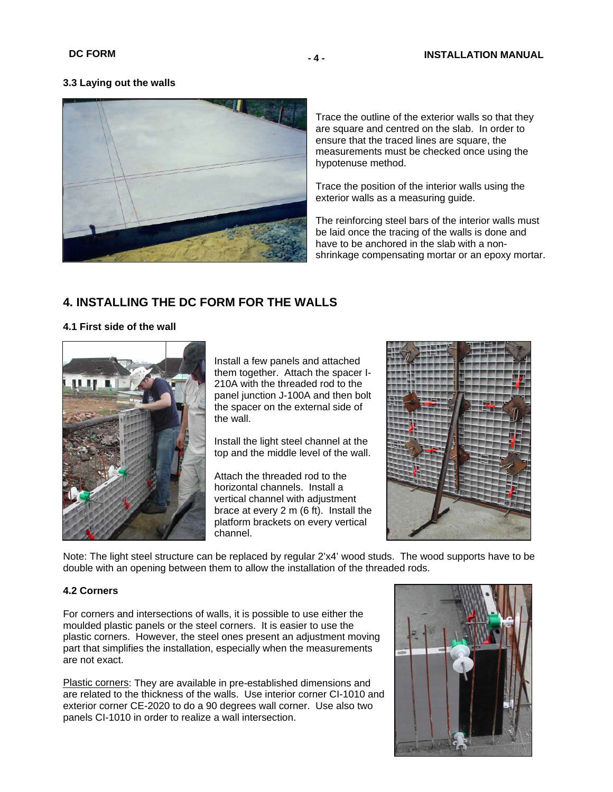#### **3.3 Laying out the walls**



Trace the outline of the exterior walls so that they are square and centred on the slab. In order to ensure that the traced lines are square, the measurements must be checked once using the hypotenuse method.

Trace the position of the interior walls using the exterior walls as a measuring guide.

The reinforcing steel bars of the interior walls must be laid once the tracing of the walls is done and have to be anchored in the slab with a nonshrinkage compensating mortar or an epoxy mortar.

### **4. INSTALLING THE DC FORM FOR THE WALLS**

#### **4.1 First side of the wall**



Install a few panels and attached them together. Attach the spacer I-210A with the threaded rod to the panel junction J-100A and then bolt the spacer on the external side of the wall.

Install the light steel channel at the top and the middle level of the wall.

Attach the threaded rod to the horizontal channels. Install a vertical channel with adjustment brace at every 2 m (6 ft). Install the platform brackets on every vertical channel.



Note: The light steel structure can be replaced by regular 2'x4' wood studs. The wood supports have to be double with an opening between them to allow the installation of the threaded rods.

#### **4.2 Corners**

For corners and intersections of walls, it is possible to use either the moulded plastic panels or the steel corners. It is easier to use the plastic corners. However, the steel ones present an adjustment moving part that simplifies the installation, especially when the measurements are not exact.

Plastic corners: They are available in pre-established dimensions and are related to the thickness of the walls. Use interior corner CI-1010 and exterior corner CE-2020 to do a 90 degrees wall corner. Use also two panels CI-1010 in order to realize a wall intersection.

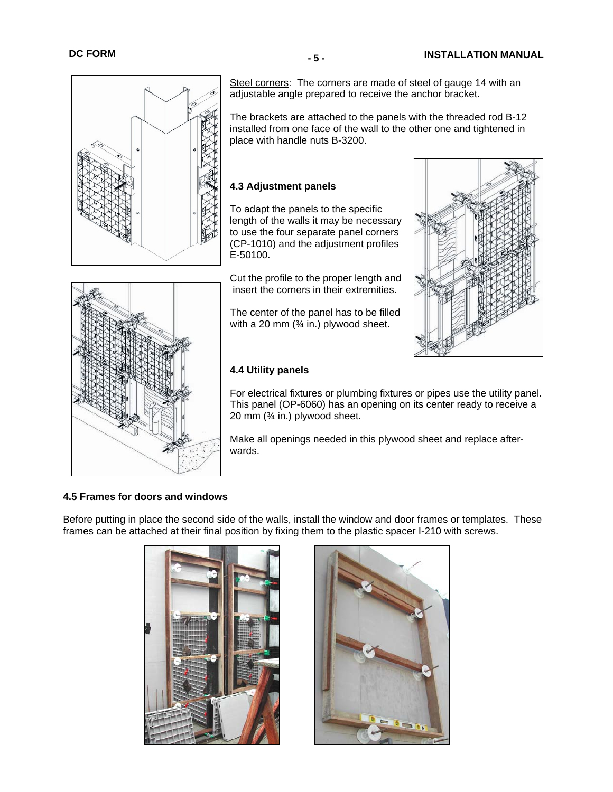

Steel corners: The corners are made of steel of gauge 14 with an adjustable angle prepared to receive the anchor bracket.

The brackets are attached to the panels with the threaded rod B-12 installed from one face of the wall to the other one and tightened in place with handle nuts B-3200.

#### **4.3 Adjustment panels**

To adapt the panels to the specific length of the walls it may be necessary to use the four separate panel corners (CP-1010) and the adjustment profiles E-50100.

Cut the profile to the proper length and insert the corners in their extremities.

The center of the panel has to be filled with a 20 mm  $($  $\frac{3}{4}$  in.) plywood sheet.





#### **4.4 Utility panels**

For electrical fixtures or plumbing fixtures or pipes use the utility panel. This panel (OP-6060) has an opening on its center ready to receive a 20 mm (¾ in.) plywood sheet.

Make all openings needed in this plywood sheet and replace afterwards.

#### **4.5 Frames for doors and windows**

Before putting in place the second side of the walls, install the window and door frames or templates. These frames can be attached at their final position by fixing them to the plastic spacer I-210 with screws.



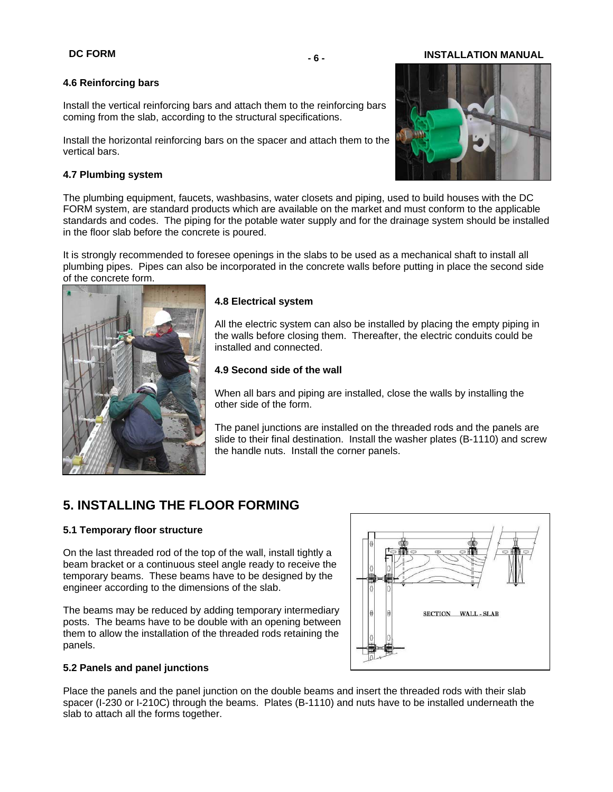#### **4.6 Reinforcing bars**

Install the vertical reinforcing bars and attach them to the reinforcing bars coming from the slab, according to the structural specifications.

Install the horizontal reinforcing bars on the spacer and attach them to the vertical bars.

#### **4.7 Plumbing system**

The plumbing equipment, faucets, washbasins, water closets and piping, used to build houses with the DC FORM system, are standard products which are available on the market and must conform to the applicable standards and codes. The piping for the potable water supply and for the drainage system should be installed in the floor slab before the concrete is poured.

It is strongly recommended to foresee openings in the slabs to be used as a mechanical shaft to install all plumbing pipes. Pipes can also be incorporated in the concrete walls before putting in place the second side of the concrete form.



#### **4.8 Electrical system**

All the electric system can also be installed by placing the empty piping in the walls before closing them. Thereafter, the electric conduits could be installed and connected.

#### **4.9 Second side of the wall**

When all bars and piping are installed, close the walls by installing the other side of the form.

The panel junctions are installed on the threaded rods and the panels are slide to their final destination. Install the washer plates (B-1110) and screw the handle nuts. Install the corner panels.

# **5. INSTALLING THE FLOOR FORMING**

#### **5.1 Temporary floor structure**

On the last threaded rod of the top of the wall, install tightly a beam bracket or a continuous steel angle ready to receive the temporary beams. These beams have to be designed by the engineer according to the dimensions of the slab.

The beams may be reduced by adding temporary intermediary posts. The beams have to be double with an opening between them to allow the installation of the threaded rods retaining the panels.



#### **5.2 Panels and panel junctions**

Place the panels and the panel junction on the double beams and insert the threaded rods with their slab spacer (I-230 or I-210C) through the beams. Plates (B-1110) and nuts have to be installed underneath the slab to attach all the forms together.

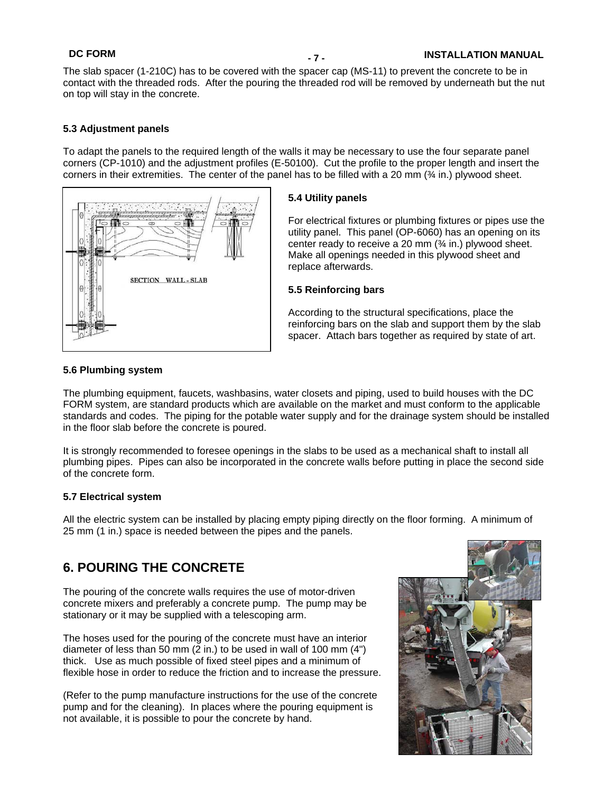### **INSTALLATION MANUAL - 7 - DC FORM**

The slab spacer (1-210C) has to be covered with the spacer cap (MS-11) to prevent the concrete to be in contact with the threaded rods. After the pouring the threaded rod will be removed by underneath but the nut on top will stay in the concrete.

#### **5.3 Adjustment panels**

To adapt the panels to the required length of the walls it may be necessary to use the four separate panel corners (CP-1010) and the adjustment profiles (E-50100). Cut the profile to the proper length and insert the corners in their extremities. The center of the panel has to be filled with a 20 mm (¾ in.) plywood sheet.



#### **5.4 Utility panels**

For electrical fixtures or plumbing fixtures or pipes use the utility panel. This panel (OP-6060) has an opening on its center ready to receive a 20 mm (¾ in.) plywood sheet. Make all openings needed in this plywood sheet and replace afterwards.

#### **5.5 Reinforcing bars**

According to the structural specifications, place the reinforcing bars on the slab and support them by the slab spacer. Attach bars together as required by state of art.

#### **5.6 Plumbing system**

The plumbing equipment, faucets, washbasins, water closets and piping, used to build houses with the DC FORM system, are standard products which are available on the market and must conform to the applicable standards and codes. The piping for the potable water supply and for the drainage system should be installed in the floor slab before the concrete is poured.

It is strongly recommended to foresee openings in the slabs to be used as a mechanical shaft to install all plumbing pipes. Pipes can also be incorporated in the concrete walls before putting in place the second side of the concrete form.

#### **5.7 Electrical system**

All the electric system can be installed by placing empty piping directly on the floor forming. A minimum of 25 mm (1 in.) space is needed between the pipes and the panels.

# **6. POURING THE CONCRETE**

The pouring of the concrete walls requires the use of motor-driven concrete mixers and preferably a concrete pump. The pump may be stationary or it may be supplied with a telescoping arm.

The hoses used for the pouring of the concrete must have an interior diameter of less than 50 mm (2 in.) to be used in wall of 100 mm (4") thick. Use as much possible of fixed steel pipes and a minimum of flexible hose in order to reduce the friction and to increase the pressure.

(Refer to the pump manufacture instructions for the use of the concrete pump and for the cleaning). In places where the pouring equipment is not available, it is possible to pour the concrete by hand.